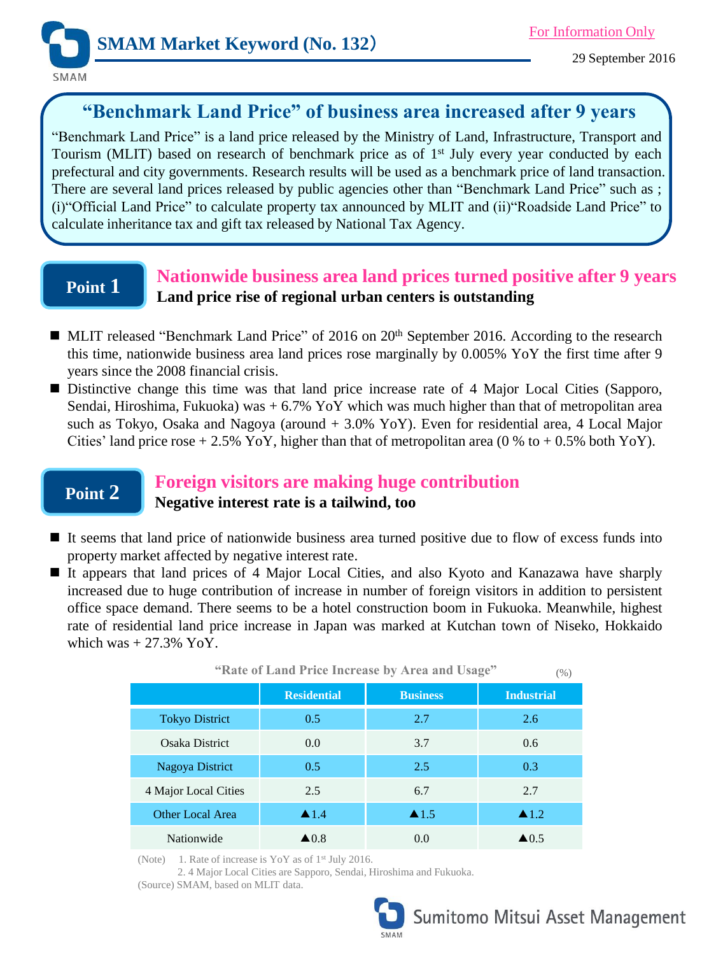

SMAM

# **"Benchmark Land Price" of business area increased after 9 years**

"Benchmark Land Price" is a land price released by the Ministry of Land, Infrastructure, Transport and Tourism (MLIT) based on research of benchmark price as of 1<sup>st</sup> July every year conducted by each prefectural and city governments. Research results will be used as a benchmark price of land transaction. There are several land prices released by public agencies other than "Benchmark Land Price" such as ; (i)"Official Land Price" to calculate property tax announced by MLIT and (ii)"Roadside Land Price" to calculate inheritance tax and gift tax released by National Tax Agency.

# **Point 1**

## **Nationwide business area land prices turned positive after 9 years Land price rise of regional urban centers is outstanding**

- MLIT released "Benchmark Land Price" of 2016 on 20<sup>th</sup> September 2016. According to the research this time, nationwide business area land prices rose marginally by 0.005% YoY the first time after 9 years since the 2008 financial crisis.
- **Distinctive change this time was that land price increase rate of 4 Major Local Cities (Sapporo,** Sendai, Hiroshima, Fukuoka) was  $+ 6.7\%$  YoY which was much higher than that of metropolitan area such as Tokyo, Osaka and Nagoya (around + 3.0% YoY). Even for residential area, 4 Local Major Cities' land price rose  $+ 2.5\%$  YoY, higher than that of metropolitan area (0 % to  $+ 0.5\%$  both YoY).

# **Point 2**

## **Foreign visitors are making huge contribution Negative interest rate is a tailwind, too**

- It seems that land price of nationwide business area turned positive due to flow of excess funds into property market affected by negative interest rate.
- It appears that land prices of 4 Major Local Cities, and also Kyoto and Kanazawa have sharply increased due to huge contribution of increase in number of foreign visitors in addition to persistent office space demand. There seems to be a hotel construction boom in Fukuoka. Meanwhile, highest rate of residential land price increase in Japan was marked at Kutchan town of Niseko, Hokkaido which was  $+27.3\%$  YoY.

| "Rate of Land Price Increase by Area and Usage"<br>(% ) |                      |                      |                      |
|---------------------------------------------------------|----------------------|----------------------|----------------------|
|                                                         | <b>Residential</b>   | <b>Business</b>      | <b>Industrial</b>    |
| <b>Tokyo District</b>                                   | 0.5                  | 2.7                  | 2.6                  |
| Osaka District                                          | 0.0                  | 3.7                  | 0.6                  |
| Nagoya District                                         | 0.5                  | 2.5                  | 0.3                  |
| 4 Major Local Cities                                    | 2.5                  | 6.7                  | 2.7                  |
| Other Local Area                                        | $\blacktriangle$ 1.4 | $\blacktriangle$ 1.5 | $\blacktriangle$ 1.2 |
| Nationwide                                              | $\blacktriangle$ 0.8 | 0.0                  | $\triangle 0.5$      |

(Note) 1. Rate of increase is YoY as of  $1<sup>st</sup>$  July 2016.

2. 4 Major Local Cities are Sapporo, Sendai, Hiroshima and Fukuoka.

(Source) SMAM, based on MLIT data.